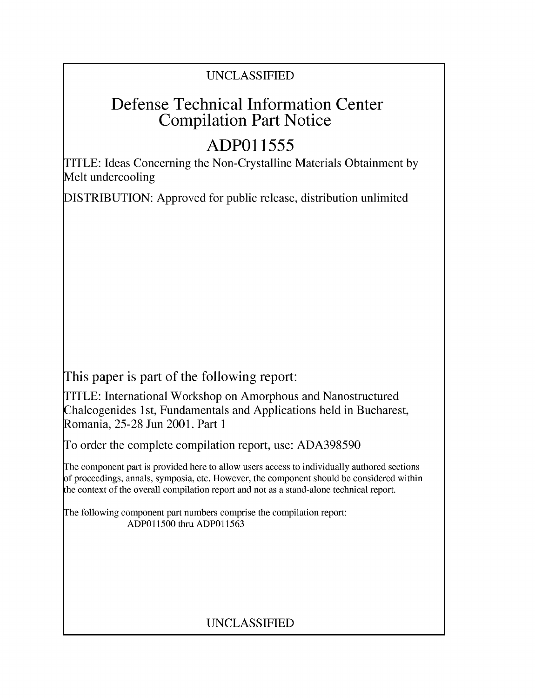## UNCLASSIFIED

# Defense Technical Information Center Compilation Part Notice

# **ADPO1 1555**

TITLE: Ideas Concerning the Non-Crystalline Materials Obtainment by Melt undercooling

DISTRIBUTION: Approved for public release, distribution unlimited

This paper is part of the following report:

TITLE: International Workshop on Amorphous and Nanostructured Chalcogenides 1 st, Fundamentals and Applications held in Bucharest, Romania, 25-28 Jun 2001. Part 1

To order the complete compilation report, use: ADA398590

The component part is provided here to allow users access to individually authored sections f proceedings, annals, symposia, etc. However, the component should be considered within [he context of the overall compilation report and not as a stand-alone technical report.

The following component part numbers comprise the compilation report: ADPO11500 thru ADP011563

## UNCLASSIFIED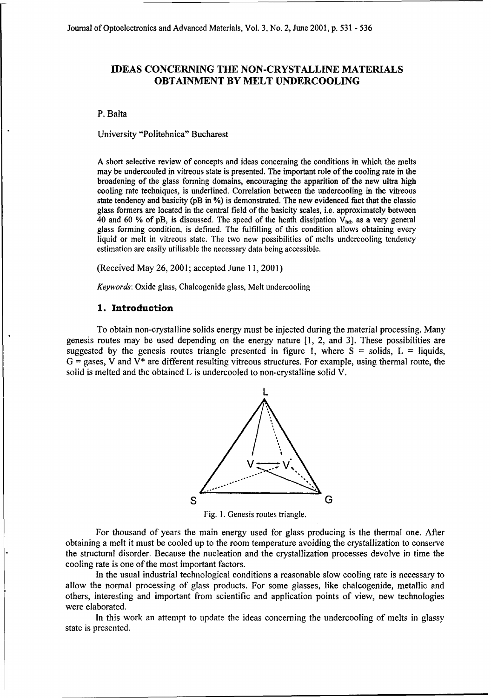### **IDEAS CONCERNING THE NON-CRYSTALLINE** MATERIALS **OBTAINMENT** BY MELT **UNDERCOOLING**

#### P. Balta

University "Politehnica" Bucharest

A short selective review of concepts and ideas concerning the conditions in which the melts may be undercooled in vitreous state is presented. The important role of the cooling rate in the broadening of the glass forming domains, encouraging the apparition of the new ultra high cooling rate techniques, is underlined. Correlation between the undercooling in the vitreous state tendency and basicity (pB in %) is demonstrated. The new evidenced fact that the classic glass formers are located in the central field of the basicity scales, i.e. approximately between 40 and 60 % of pB, is discussed. The speed of the heath dissipation  $V_{hd}$ , as a very general glass forming condition, is defined. The fulfilling of this condition allows obtaining every liquid or melt in vitreous state. The two new possibilities of melts undercooling tendency estimation are easily utilisable the necessary data being accessible.

(Received May 26, 2001; accepted June **11,** 2001)

*Keywords:* Oxide glass, Chalcogenide glass, Melt undercooling

#### **1.** Introduction

To obtain non-crystalline solids energy must be injected during the material processing. Many genesis routes may be used depending on the energy nature [1, 2, and 3]. These possibilities are suggested by the genesis routes triangle presented in figure 1, where  $S =$  solids,  $L =$  liquids,  $G =$  gases, V and  $V^*$  are different resulting vitreous structures. For example, using thermal route, the solid is melted and the obtained L is undercooled to non-crystalline solid V.



Fig. **1.** Genesis routes triangle.

For thousand of years the main energy used for glass producing is the thermal one. After obtaining a melt it must be cooled up to the room temperature avoiding the crystallization to conserve the structural disorder. Because the nucleation and the crystallization processes devolve in time the cooling rate is one of the most important factors.

In the usual industrial technological conditions a reasonable slow cooling rate is necessary to allow the normal processing of glass products. For some glasses, like chalcogenide, metallic and others, interesting and important from scientific and application points of view, new technologies were elaborated.

In this work an attempt to update the ideas concerning the undercooling of melts in glassy state is presented.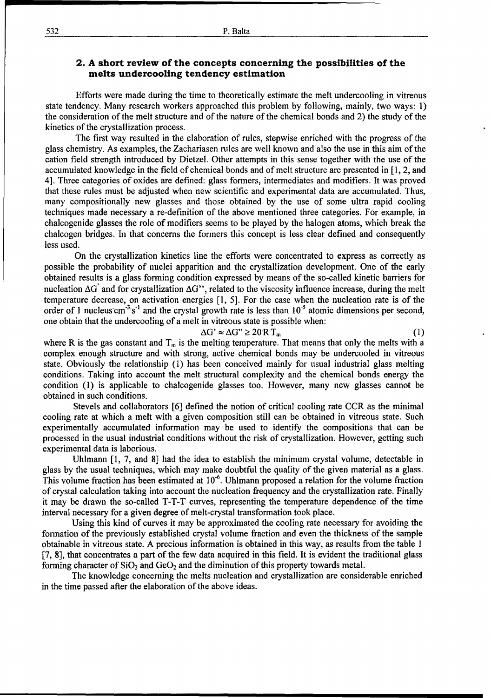### 2. **A** short review of the concepts concerning the possibilities of the melts undercooling tendency estimation

Efforts were made during the time to theoretically estimate the melt undercooling in vitreous state tendency. Many research workers approached this problem by following, mainly, two ways: 1) the consideration of the melt structure and of the nature of the chemical bonds and 2) the study of the kinetics of the crystallization process.

The first way resulted in the elaboration of rules, stepwise enriched with the progress of the glass chemistry. As examples, the Zachariasen rules are well known and also the use in this aim of the cation field strength introduced by Dietzel. Other attempts in this sense together with the use of the accumulated knowledge in the field of chemical bonds and of melt structure are presented in [1, 2, and 4]. Three categories of oxides are defined: glass formers, intermediates and modifiers. It was proved that these rules must be adjusted when new scientific and experimental data are accumulated. Thus, many compositionally new glasses and those obtained by the use of some ultra rapid cooling techniques made necessary a re-definition of the above mentioned three categories. For example, in chalcogenide glasses the role of modifiers seems to be played by the halogen atoms, which break the chalcogen bridges. In that concerns the formers this concept is less clear defined and consequently less used.

On the crystallization kinetics line the efforts were concentrated to express as correctly as possible the probability of nuclei apparition and the crystallization development. One of the early obtained results is a glass forming condition expressed by means of the so-called kinetic barriers for nucleation AG' and for crystallization AG", related to the viscosity influence increase, during the melt temperature decrease, on activation energies [1, 5]. For the case when the nucleation rate is of the order of 1 nucleus cm<sup>-3</sup> s<sup>-1</sup> and the crystal growth rate is less than 10<sup>-5</sup> atomic dimensions per second, one obtain that the undercooling of a melt in vitreous state is possible when:

$$
\Delta G' \approx \Delta G'' \ge 20 \,\mathrm{RT}_m \tag{1}
$$

where R is the gas constant and  $T_m$  is the melting temperature. That means that only the melts with a complex enough structure and with strong, active chemical bonds may be undercooled in vitreous state. Obviously the relationship (1) has been conceived mainly for usual industrial glass melting conditions. Taking into account the melt structural complexity and the chemical bonds energy the condition (1) is applicable to chalcogenide glasses too. However, many new glasses cannot be obtained in such conditions.

Stevels and collaborators [6] defined the notion of critical cooling rate CCR as the minimal cooling rate at which a melt with a given composition still can be obtained in vitreous state. Such experimentally accumulated information may be used to identify the compositions that can be processed in the usual industrial conditions without the risk of crystallization. However, getting such experimental data is laborious.

Uhlmann [1, 7, and 8] had the idea to establish the minimum crystal volume, detectable in glass by the usual techniques, which may make doubtful the quality of the given material as a glass. This volume fraction has been estimated at 10<sup>-6</sup>. Uhlmann proposed a relation for the volume fraction of crystal calculation taking into account the nucleation frequency and the crystallization rate. Finally it may be drawn the so-called T-T-T curves, representing the temperature dependence of the time interval necessary for a given degree of melt-crystal transformation took place.

Using this kind of curves it may be approximated the cooling rate necessary for avoiding the formation of the previously established crystal volume fraction and even the thickness of the sample obtainable in vitreous state. A precious information is obtained in this way, as results from the table 1 [7, 8], that concentrates a part of the few data acquired in this field. It is evident the traditional glass forming character of  $SiO<sub>2</sub>$  and  $GeO<sub>2</sub>$  and the diminution of this property towards metal.

The knowledge concerning the melts nucleation and crystallization are considerable enriched in the time passed after the elaboration of the above ideas.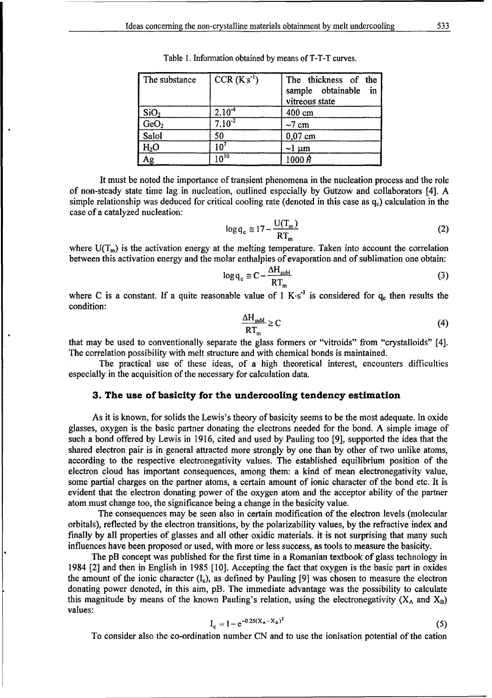| The substance    | $CCR(Ks-1)$ | The thickness of the<br>sample obtainable in<br>vitreous state |
|------------------|-------------|----------------------------------------------------------------|
| SiO <sub>2</sub> | $2.10-4$    | 400 cm                                                         |
| GeO <sub>2</sub> | $7.10^{2}$  | $\sim$ 7 cm                                                    |
| Salol            | 50          | $0,07$ cm                                                      |
| H <sub>2</sub> O | $10^7$      | $\sim$ l µm                                                    |
| Ag               | $10^{10}$   | 1000R                                                          |

Table 1. Information obtained by means of T-T-T curves.

It must be noted the importance of transient phenomena in the nucleation process and the role of non-steady state time lag in nucleation, outlined especially by Gutzow and collaborators [4]. A simple relationship was deduced for critical cooling rate (denoted in this case as **q.)** calculation in the case of a catalyzed nucleation:

$$
\log q_{\rm c} \cong 17 - \frac{\rm U(T_m)}{\rm RT_m} \tag{2}
$$

where  $U(T_m)$  is the activation energy at the melting temperature. Taken into account the correlation between this activation energy and the molar enthalpies of evaporation and of sublimation one obtain:

$$
\log q_{\rm c} \cong C - \frac{\Delta H_{\rm subl}}{RT_{\rm m}}\tag{3}
$$

where C is a constant. If a quite reasonable value of 1 K·s<sup>-1</sup> is considered for  $q_c$  then results the condition:

$$
\frac{\Delta H_{\text{subl}}}{RT_{\text{m}}} \ge C \tag{4}
$$

that may be used to conventionally separate the glass formers or "vitroids" from "crystalloids" [4]. The correlation possibility with melt structure and with chemical bonds is maintained.

The practical use of these ideas, of a high theoretical interest, encounters difficulties especially in the acquisition of the necessary for calculation data.

#### **3.** The use of basicity for the undercooling tendency estimation

As it is known, for solids the Lewis's theory of basicity seems to be the most adequate. In oxide glasses, oxygen is the basic partner donating the electrons needed for the bond. A simple image of such a bond offered by Lewis in 1916, cited and used by Pauling too [9], supported the idea that the shared electron pair is in general attracted more strongly by one than by other of two unlike atoms, according to the respective electronegativity values. The established equilibrium position of the electron cloud has important consequences, among them: a kind of mean electronegativity value, some partial charges on the partner atoms, a certain amount of ionic character of the bond etc. It is evident that the electron donating power of the oxygen atom and the acceptor ability of the partner atom must change too, the significance being a change in the basicity value.

The consequences may be seen also in certain modification of the electron levels (molecular orbitals), reflected by the electron transitions, by the polarizability values, by the refractive index and finally by all properties of glasses and all other oxidic materials, it is not surprising that many such influences have been proposed or used, with more or less success, as tools to measure the basicity.

The **pB** concept was published for the first time in a Romanian textbook of glass technology in 1984 [2] and then in English in 1985 [10]. Accepting the fact that oxygen is the basic part in oxides the amount of the ionic character  $(I_c)$ , as defined by Pauling [9] was chosen to measure the electron donating power denoted, in this aim, pB. The immediate advantage was the possibility to calculate this magnitude by means of the known Pauling's relation, using the electronegativity  $(X_A \text{ and } X_B)$ values:

$$
I_c = 1 - e^{-0.25(X_A - X_B)^2}
$$
 (5)

To consider also the co-ordination number CN and to use the ionisation potential of the cation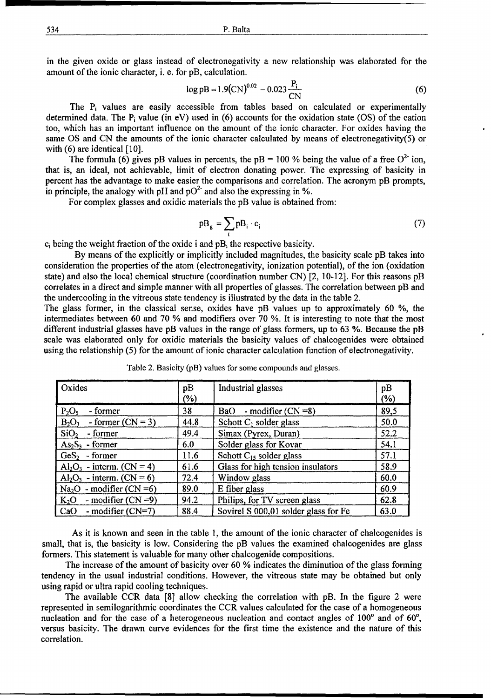534 P. Balta

in the given oxide or glass instead of electronegativity a new relationship was elaborated for the amount of the ionic character, i. e. for pB, calculation.

$$
\log pB = 1.9 \text{(CN)}^{0.02} - 0.023 \frac{P_i}{\text{CN}}
$$
 (6)

The Pi values are easily accessible from tables based on calculated or experimentally determined data. The  $P_i$  value (in eV) used in (6) accounts for the oxidation state (OS) of the cation too, which has an important influence on the amount of the ionic character. For oxides having the same OS and CN the amounts of the ionic character calculated by means of electronegativity(5) or with  $(6)$  are identical  $[10]$ .

The formula (6) gives pB values in percents, the  $pB = 100$  % being the value of a free  $O^{2-}$  ion, that is, an ideal, not achievable, limit of electron donating power. The expressing of basicity in percent has the advantage to make easier the comparisons and correlation. The acronym pB prompts, in principle, the analogy with pH and  $pO<sup>2</sup>$  and also the expressing in %.

For complex glasses and oxidic materials the pB value is obtained from:

$$
p_{\mathbf{g}} = \sum_{i} p_{i} \cdot \mathbf{c}_{i} \tag{7}
$$

 $c_i$  being the weight fraction of the oxide i and  $pB_i$  the respective basicity.

By means of the explicitly or implicitly included magnitudes, the basicity scale pB takes into consideration the properties of the atom (electronegativity, ionization potential), of the ion (oxidation state) and also the local chemical structure (coordination number CN) [2, 10-12]. For this reasons pB correlates in a direct and simple manner with all properties of glasses. The correlation between pB and the undercooling in the vitreous state tendency is illustrated by the data in the table 2.

The glass former, in the classical sense, oxides have pB values up to approximately 60 **%,** the intermediates between 60 and 70 % and modifiers over 70 **%.** It is interesting to note that the most different industrial glasses have pB values in the range of glass formers, up to 63 **%.** Because the pB scale was elaborated only for oxidic materials the basicity values of chalcogenides were obtained using the relationship (5) for the amount of ionic character calculation function of electronegativity.

| Oxides                          | pB<br>$(\% )$ | Industrial glasses                   | pB<br>(%) |
|---------------------------------|---------------|--------------------------------------|-----------|
| $P_2O_5$<br>- former            | 38            | BaO - modifier $(CN = 8)$            | 89,5      |
| $B_2O_3$<br>- former $(CN = 3)$ | 44.8          | Schott $C_1$ solder glass            | 50.0      |
| SiO <sub>2</sub><br>- former    | 49.4          | Simax (Pyrex, Duran)                 | 52.2      |
| $As2S3$ - former                | 6.0           | Solder glass for Kovar               | 54.1      |
| $GeS2$ - former                 | 11.6          | Schott $C_{15}$ solder glass         | 57.1      |
| $Al_2O_3$ - interm. (CN = 4)    | 61.6          | Glass for high tension insulators    | 58.9      |
| $Al_2O_3$ - interm. (CN = 6)    | 72.4          | Window glass                         | 60.0      |
| $Na2O$ - modifier (CN =6)       | 89.0          | E fiber glass                        | 60.9      |
| - modifier $(CN = 9)$<br>$K_2O$ | 94.2          | Philips, for TV screen glass         | 62.8      |
| - modifier $(CN=7)$<br>CaO      | 88.4          | Sovirel S 000,01 solder glass for Fe | 63.0      |

Table 2. Basicity (pB) values for some compounds and glasses.

As it is known and seen in the table 1, the amount of the ionic character of chalcogenides is small, that is, the basicity is low. Considering the pB values the examined chalcogenides are glass formers. This statement is valuable for many other chalcogenide compositions.

The increase of the amount of basicity over 60 % indicates the diminution of the glass forming tendency in the usual industrial conditions. However, the vitreous state may be obtained but only using rapid or ultra rapid cooling techniques.

The available CCR data [8] allow checking the correlation with pB. In the figure 2 were represented in semilogarithmic coordinates the CCR values calculated for the case of a homogeneous nucleation and for the case of a heterogeneous nucleation and contact angles of  $100^{\circ}$  and of  $60^{\circ}$ , versus basicity. The drawn curve evidences for the first time the existence and the nature of this correlation.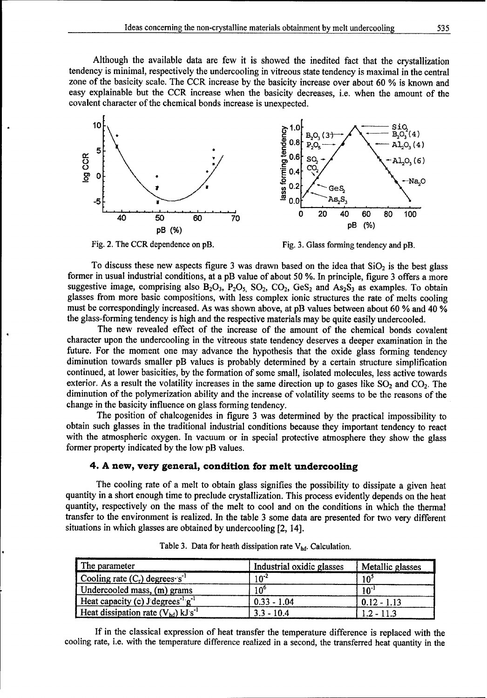Although the available data are few it is showed the inedited fact that the crystallization tendency is minimal, respectively the undercooling in vitreous state tendency is maximal in the central zone of the basicity scale. The CCR increase by the basicity increase over about 60 % is known and easy explainable but the CCR increase when the basicity decreases, i.e. when the amount of the covalent character of the chemical bonds increase is unexpected.



To discuss these new aspects figure 3 was drawn based on the idea that  $SiO<sub>2</sub>$  is the best glass former in usual industrial conditions, at a pB value of about 50 %. In principle, figure 3 offers a more suggestive image, comprising also  $B_2O_3$ ,  $P_2O_5$ ,  $SO_2$ ,  $CO_2$ ,  $GeS_2$  and  $As_2S_3$  as examples. To obtain glasses from more basic compositions, with less complex ionic structures the rate of melts cooling must be correspondingly increased. As was shown above, at pB values between about 60 % and 40 %

the glass-forming tendency is high and the respective materials may be quite easily undercooled. The new revealed effect of the increase of the amount of the chemical bonds covalent character upon the undercooling in the vitreous state tendency deserves a deeper examination in the future. For the moment one may advance the hypothesis that the oxide glass forming tendency diminution towards smaller pB values is probably determined by a certain structure simplification continued, at lower basicities, by the formation of some small, isolated molecules, less active towards exterior. As a result the volatility increases in the same direction up to gases like  $SO_2$  and  $CO_2$ . The diminution of the polymerization ability and the increase of volatility seems to be the reasons of the change in the basicity influence on glass forming tendency.

The position of chalcogenides in figure 3 was determined by the practical impossibility to obtain such glasses in the traditional industrial conditions because they important tendency to react with the atmospheric oxygen. In vacuum or in special protective atmosphere they show the glass former property indicated by the low pB values.

#### 4. **A** new, very general, condition for melt undercooling

The cooling rate of a melt to obtain glass signifies the possibility to dissipate a given heat quantity in a short enough time to preclude crystallization. This process evidently depends on the heat quantity, respectively on the mass of the melt to cool and on the conditions in which the thermal transfer to the environment is realized. In the table 3 some data are presented for two very different situations in which glasses are obtained by undercooling [2, 14].

| The parameter                                       | Industrial oxidic glasses | Metallic glasses |
|-----------------------------------------------------|---------------------------|------------------|
| Cooling rate $(C_r)$ degrees $s^1$                  | $10^{-2}$                 | 10 <sup>5</sup>  |
| Undercooled mass, (m) grams                         | 10 <sup>6</sup>           | $10^{-1}$        |
| Heat capacity (c) J degrees <sup>-1</sup> $g^{-1}$  | $0.33 - 1.04$             | $0.12 - 1.13$    |
| Heat dissipation rate $(V_{hd})$ kJ s <sup>-1</sup> | $3.3 - 10.4$              | $1.2 - 11.3$     |

Table 3. Data for heath dissipation rate V<sub>hd</sub>. Calculation.

If in the classical expression of heat transfer the temperature difference is replaced with the cooling rate, i.e. with the temperature difference realized in a second, the transferred heat quantity in the